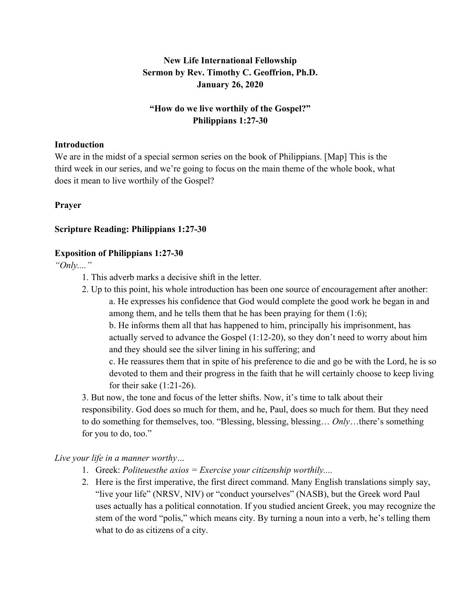# **New Life International Fellowship Sermon by Rev. Timothy C. Geoffrion, Ph.D. January 26, 2020**

# **"How do we live worthily of the Gospel?" Philippians 1:27-30**

#### **Introduction**

We are in the midst of a special sermon series on the book of Philippians. [Map] This is the third week in our series, and we're going to focus on the main theme of the whole book, what does it mean to live worthily of the Gospel?

# **Prayer**

### **Scripture Reading: Philippians 1:27-30**

### **Exposition of Philippians 1:27-30**

*"Only...."* 

- 1. This adverb marks a decisive shift in the letter.
- 2. Up to this point, his whole introduction has been one source of encouragement after another: a. He expresses his confidence that God would complete the good work he began in and among them, and he tells them that he has been praying for them (1:6);

b. He informs them all that has happened to him, principally his imprisonment, has actually served to advance the Gospel (1:12-20), so they don't need to worry about him and they should see the silver lining in his suffering; and

c. He reassures them that in spite of his preference to die and go be with the Lord, he is so devoted to them and their progress in the faith that he will certainly choose to keep living for their sake  $(1:21-26)$ .

3. But now, the tone and focus of the letter shifts. Now, it's time to talk about their responsibility. God does so much for them, and he, Paul, does so much for them. But they need to do something for themselves, too. "Blessing, blessing, blessing… *Only*…there's something for you to do, too."

# *Live your life in a manner worthy…*

- 1. Greek: *Politeuesthe axios = Exercise your citizenship worthily....*
- 2. Here is the first imperative, the first direct command. Many English translations simply say, "live your life" (NRSV, NIV) or "conduct yourselves" (NASB), but the Greek word Paul uses actually has a political connotation. If you studied ancient Greek, you may recognize the stem of the word "polis," which means city. By turning a noun into a verb, he's telling them what to do as citizens of a city.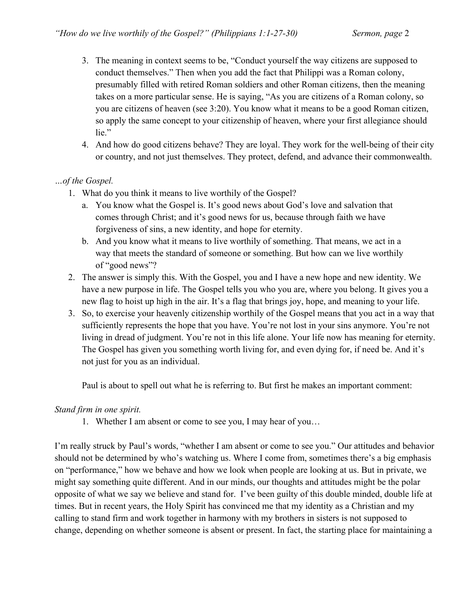- 3. The meaning in context seems to be, "Conduct yourself the way citizens are supposed to conduct themselves." Then when you add the fact that Philippi was a Roman colony, presumably filled with retired Roman soldiers and other Roman citizens, then the meaning takes on a more particular sense. He is saying, "As you are citizens of a Roman colony, so you are citizens of heaven (see 3:20). You know what it means to be a good Roman citizen, so apply the same concept to your citizenship of heaven, where your first allegiance should lie."
- 4. And how do good citizens behave? They are loyal. They work for the well-being of their city or country, and not just themselves. They protect, defend, and advance their commonwealth.

# *…of the Gospel.*

- 1. What do you think it means to live worthily of the Gospel?
	- a. You know what the Gospel is. It's good news about God's love and salvation that comes through Christ; and it's good news for us, because through faith we have forgiveness of sins, a new identity, and hope for eternity.
	- b. And you know what it means to live worthily of something. That means, we act in a way that meets the standard of someone or something. But how can we live worthily of "good news"?
- 2. The answer is simply this. With the Gospel, you and I have a new hope and new identity. We have a new purpose in life. The Gospel tells you who you are, where you belong. It gives you a new flag to hoist up high in the air. It's a flag that brings joy, hope, and meaning to your life.
- 3. So, to exercise your heavenly citizenship worthily of the Gospel means that you act in a way that sufficiently represents the hope that you have. You're not lost in your sins anymore. You're not living in dread of judgment. You're not in this life alone. Your life now has meaning for eternity. The Gospel has given you something worth living for, and even dying for, if need be. And it's not just for you as an individual.

Paul is about to spell out what he is referring to. But first he makes an important comment:

# *Stand firm in one spirit.*

1. Whether I am absent or come to see you, I may hear of you…

I'm really struck by Paul's words, "whether I am absent or come to see you." Our attitudes and behavior should not be determined by who's watching us. Where I come from, sometimes there's a big emphasis on "performance," how we behave and how we look when people are looking at us. But in private, we might say something quite different. And in our minds, our thoughts and attitudes might be the polar opposite of what we say we believe and stand for. I've been guilty of this double minded, double life at times. But in recent years, the Holy Spirit has convinced me that my identity as a Christian and my calling to stand firm and work together in harmony with my brothers in sisters is not supposed to change, depending on whether someone is absent or present. In fact, the starting place for maintaining a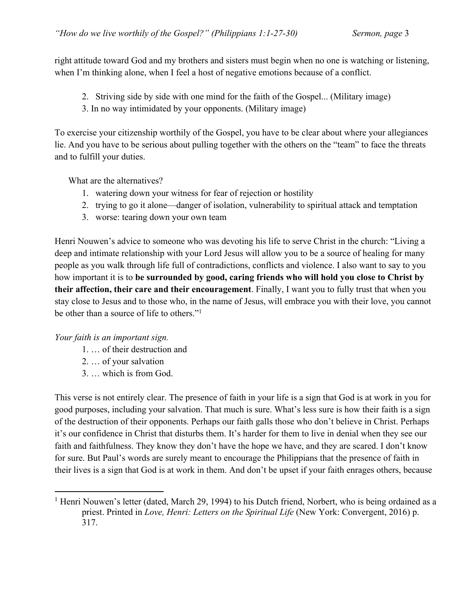right attitude toward God and my brothers and sisters must begin when no one is watching or listening, when I'm thinking alone, when I feel a host of negative emotions because of a conflict.

- 2. Striving side by side with one mind for the faith of the Gospel... (Military image)
- 3. In no way intimidated by your opponents. (Military image)

To exercise your citizenship worthily of the Gospel, you have to be clear about where your allegiances lie. And you have to be serious about pulling together with the others on the "team" to face the threats and to fulfill your duties.

What are the alternatives?

- 1. watering down your witness for fear of rejection or hostility
- 2. trying to go it alone—danger of isolation, vulnerability to spiritual attack and temptation
- 3. worse: tearing down your own team

Henri Nouwen's advice to someone who was devoting his life to serve Christ in the church: "Living a deep and intimate relationship with your Lord Jesus will allow you to be a source of healing for many people as you walk through life full of contradictions, conflicts and violence. I also want to say to you how important it is to **be surrounded by good, caring friends who will hold you close to Christ by their affection, their care and their encouragement**. Finally, I want you to fully trust that when you stay close to Jesus and to those who, in the name of Jesus, will embrace you with their love, you cannot be other than a source of life to others."1

*Your faith is an important sign.*

- 1. … of their destruction and
- 2. … of your salvation
- 3. … which is from God.

This verse is not entirely clear. The presence of faith in your life is a sign that God is at work in you for good purposes, including your salvation. That much is sure. What's less sure is how their faith is a sign of the destruction of their opponents. Perhaps our faith galls those who don't believe in Christ. Perhaps it's our confidence in Christ that disturbs them. It's harder for them to live in denial when they see our faith and faithfulness. They know they don't have the hope we have, and they are scared. I don't know for sure. But Paul's words are surely meant to encourage the Philippians that the presence of faith in their lives is a sign that God is at work in them. And don't be upset if your faith enrages others, because

<sup>&</sup>lt;sup>1</sup> Henri Nouwen's letter (dated, March 29, 1994) to his Dutch friend, Norbert, who is being ordained as a priest. Printed in *Love, Henri: Letters on the Spiritual Life* (New York: Convergent, 2016) p. 317.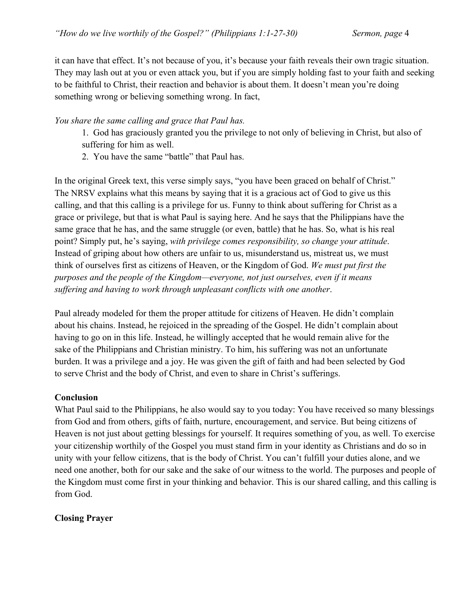it can have that effect. It's not because of you, it's because your faith reveals their own tragic situation. They may lash out at you or even attack you, but if you are simply holding fast to your faith and seeking to be faithful to Christ, their reaction and behavior is about them. It doesn't mean you're doing something wrong or believing something wrong. In fact,

#### *You share the same calling and grace that Paul has.*

- 1. God has graciously granted you the privilege to not only of believing in Christ, but also of suffering for him as well.
- 2. You have the same "battle" that Paul has.

In the original Greek text, this verse simply says, "you have been graced on behalf of Christ." The NRSV explains what this means by saying that it is a gracious act of God to give us this calling, and that this calling is a privilege for us. Funny to think about suffering for Christ as a grace or privilege, but that is what Paul is saying here. And he says that the Philippians have the same grace that he has, and the same struggle (or even, battle) that he has. So, what is his real point? Simply put, he's saying, *with privilege comes responsibility, so change your attitude*. Instead of griping about how others are unfair to us, misunderstand us, mistreat us, we must think of ourselves first as citizens of Heaven, or the Kingdom of God. *We must put first the purposes and the people of the Kingdom—everyone, not just ourselves, even if it means suffering and having to work through unpleasant conflicts with one another*.

Paul already modeled for them the proper attitude for citizens of Heaven. He didn't complain about his chains. Instead, he rejoiced in the spreading of the Gospel. He didn't complain about having to go on in this life. Instead, he willingly accepted that he would remain alive for the sake of the Philippians and Christian ministry. To him, his suffering was not an unfortunate burden. It was a privilege and a joy. He was given the gift of faith and had been selected by God to serve Christ and the body of Christ, and even to share in Christ's sufferings.

# **Conclusion**

What Paul said to the Philippians, he also would say to you today: You have received so many blessings from God and from others, gifts of faith, nurture, encouragement, and service. But being citizens of Heaven is not just about getting blessings for yourself. It requires something of you, as well. To exercise your citizenship worthily of the Gospel you must stand firm in your identity as Christians and do so in unity with your fellow citizens, that is the body of Christ. You can't fulfill your duties alone, and we need one another, both for our sake and the sake of our witness to the world. The purposes and people of the Kingdom must come first in your thinking and behavior. This is our shared calling, and this calling is from God.

# **Closing Prayer**